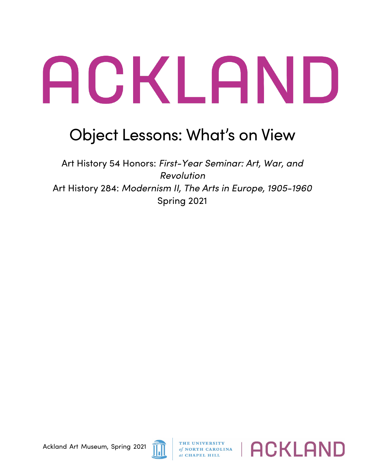## ACKLAND

## Object Lessons: What's on View

Art History 54 Honors: *First-Year Seminar: Art, War, and Revolution* Art History 284: *Modernism II, The Arts in Europe, 1905-1960*  Spring 2021



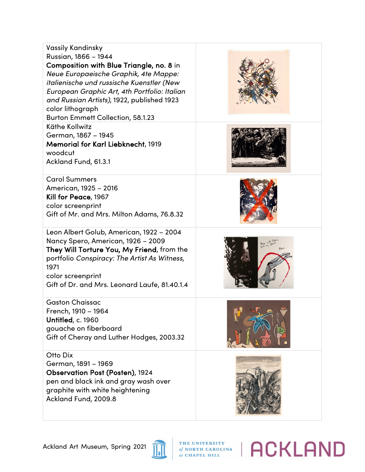



of NORTH CAROLINA at CHAPEL HILL